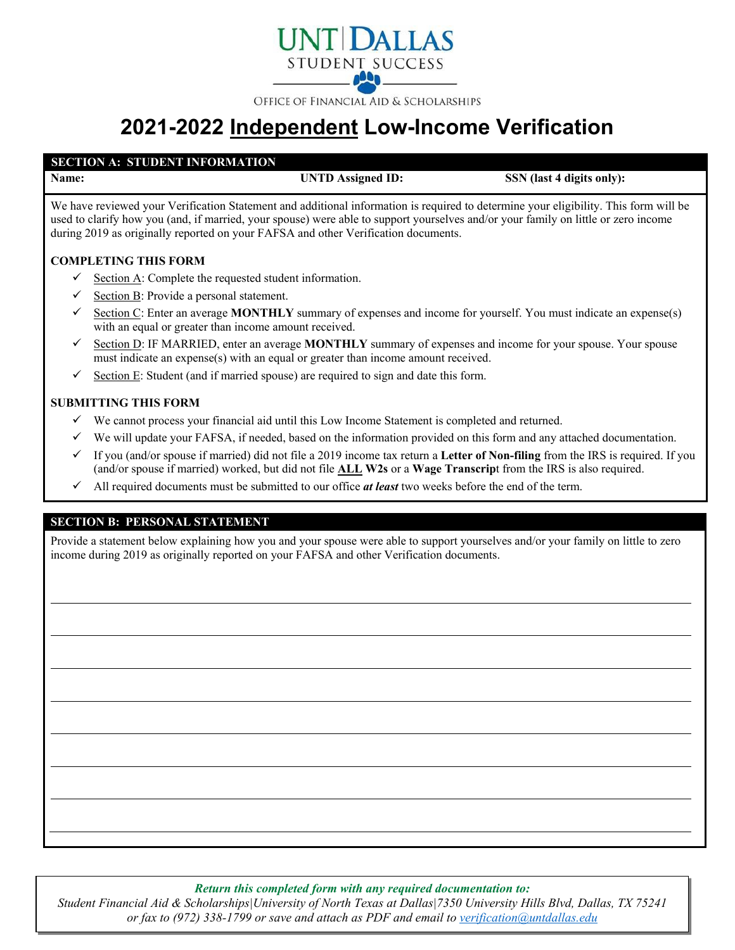

OFFICE OF FINANCIAL AID & SCHOLARSHIPS

# **2021-2022 Independent Low-Income Verification**

## **SECTION A: STUDENT INFORMATION**

**Name: UNTD Assigned ID: SSN** (last 4 digits only):

We have reviewed your Verification Statement and additional information is required to determine your eligibility. This form will be used to clarify how you (and, if married, your spouse) were able to support yourselves and/or your family on little or zero income during 2019 as originally reported on your FAFSA and other Verification documents.

## **COMPLETING THIS FORM**

- Section A: Complete the requested student information.
- $\checkmark$  Section B: Provide a personal statement.
- Section C: Enter an average **MONTHLY** summary of expenses and income for yourself. You must indicate an expense(s) with an equal or greater than income amount received.
- $\checkmark$  Section D: IF MARRIED, enter an average **MONTHLY** summary of expenses and income for your spouse. Your spouse must indicate an expense(s) with an equal or greater than income amount received.
- $\checkmark$  Section E: Student (and if married spouse) are required to sign and date this form.

### **SUBMITTING THIS FORM**

- $\checkmark$  We cannot process your financial aid until this Low Income Statement is completed and returned.
- $\checkmark$  We will update your FAFSA, if needed, based on the information provided on this form and any attached documentation.
- If you (and/or spouse if married) did not file a 2019 income tax return a **Letter of Non-filing** from the IRS is required. If you (and/or spouse if married) worked, but did not file **ALL W2s** or a **Wage Transcrip**t from the IRS is also required.
- $\checkmark$  All required documents must be submitted to our office *at least* two weeks before the end of the term.

### **SECTION B: PERSONAL STATEMENT**

Provide a statement below explaining how you and your spouse were able to support yourselves and/or your family on little to zero income during 2019 as originally reported on your FAFSA and other Verification documents.

*Return this completed form with any required documentation to:*

*Student Financial Aid & Scholarships|University of North Texas at Dallas|7350 University Hills Blvd, Dallas, TX 75241 or fax to (972) 338-1799 or save and attach as PDF and email to [verification@untdallas.edu](mailto:verification@untdallas.edu)*